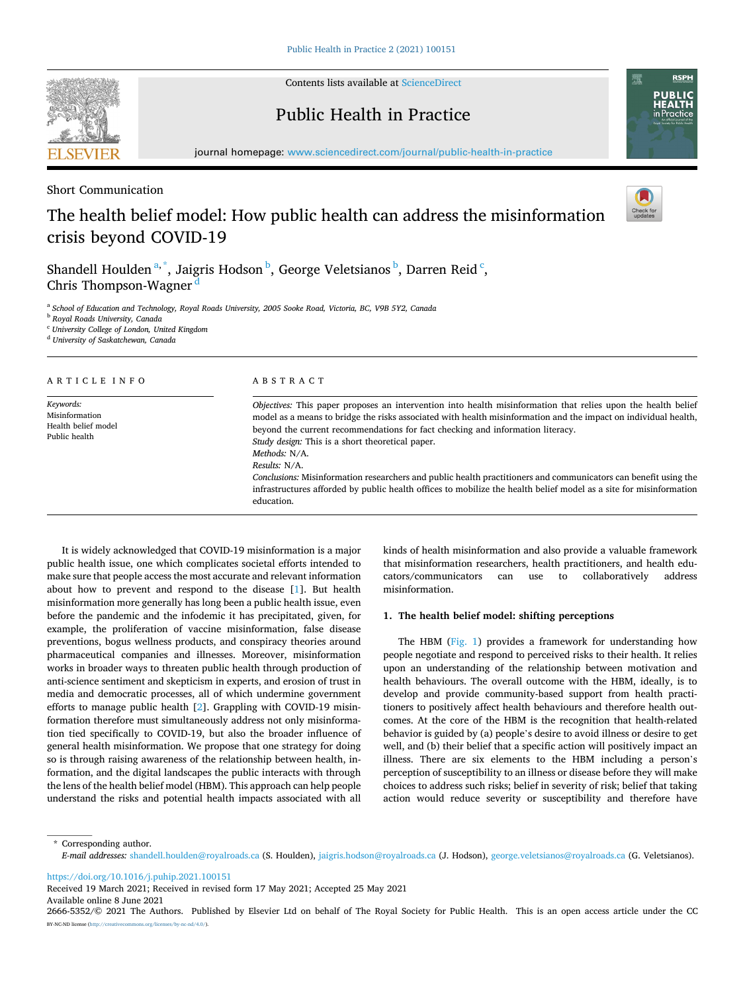

Contents lists available at [ScienceDirect](www.sciencedirect.com/science/journal/26665352)

# Public Health in Practice



journal homepage: [www.sciencedirect.com/journal/public-health-in-practice](https://www.sciencedirect.com/journal/public-health-in-practice) 

Short Communication

## The health belief model: How public health can address the misinformation crisis beyond COVID-19



Shandell Houlden<sup>a,\*</sup>, Jaigris Hodson<sup>b</sup>, George Veletsianos<sup>b</sup>, Darren Reid<sup> c</sup>, Chris Thompson-Wagner

<sup>a</sup> *School of Education and Technology, Royal Roads University, 2005 Sooke Road, Victoria, BC, V9B 5Y2, Canada* 

<sup>b</sup> *Royal Roads University, Canada* 

<sup>c</sup> *University College of London, United Kingdom* 

<sup>d</sup> *University of Saskatchewan, Canada* 

#### ARTICLE INFO *Keywords:*  Misinformation Health belief model Public health ABSTRACT *Objectives:* This paper proposes an intervention into health misinformation that relies upon the health belief model as a means to bridge the risks associated with health misinformation and the impact on individual health, beyond the current recommendations for fact checking and information literacy. *Study design:* This is a short theoretical paper. *Methods:* N/A. *Results:* N/A. *Conclusions:* Misinformation researchers and public health practitioners and communicators can benefit using the infrastructures afforded by public health offices to mobilize the health belief model as a site for misinformation education.

It is widely acknowledged that COVID-19 misinformation is a major public health issue, one which complicates societal efforts intended to make sure that people access the most accurate and relevant information about how to prevent and respond to the disease [\[1\]](#page-2-0). But health misinformation more generally has long been a public health issue, even before the pandemic and the infodemic it has precipitated, given, for example, the proliferation of vaccine misinformation, false disease preventions, bogus wellness products, and conspiracy theories around pharmaceutical companies and illnesses. Moreover, misinformation works in broader ways to threaten public health through production of anti-science sentiment and skepticism in experts, and erosion of trust in media and democratic processes, all of which undermine government efforts to manage public health [\[2](#page-2-0)]. Grappling with COVID-19 misinformation therefore must simultaneously address not only misinformation tied specifically to COVID-19, but also the broader influence of general health misinformation. We propose that one strategy for doing so is through raising awareness of the relationship between health, information, and the digital landscapes the public interacts with through the lens of the health belief model (HBM). This approach can help people understand the risks and potential health impacts associated with all kinds of health misinformation and also provide a valuable framework that misinformation researchers, health practitioners, and health educators/communicators can use to collaboratively address misinformation.

#### **1. The health belief model: shifting perceptions**

The HBM ([Fig. 1](#page-1-0)) provides a framework for understanding how people negotiate and respond to perceived risks to their health. It relies upon an understanding of the relationship between motivation and health behaviours. The overall outcome with the HBM, ideally, is to develop and provide community-based support from health practitioners to positively affect health behaviours and therefore health outcomes. At the core of the HBM is the recognition that health-related behavior is guided by (a) people's desire to avoid illness or desire to get well, and (b) their belief that a specific action will positively impact an illness. There are six elements to the HBM including a person's perception of susceptibility to an illness or disease before they will make choices to address such risks; belief in severity of risk; belief that taking action would reduce severity or susceptibility and therefore have

\* Corresponding author. *E-mail addresses:* [shandell.houlden@royalroads.ca](mailto:shandell.houlden@royalroads.ca) (S. Houlden), [jaigris.hodson@royalroads.ca](mailto:jaigris.hodson@royalroads.ca) (J. Hodson), [george.veletsianos@royalroads.ca](mailto:george.veletsianos@royalroads.ca) (G. Veletsianos).

<https://doi.org/10.1016/j.puhip.2021.100151>

Available online 8 June 2021 Received 19 March 2021; Received in revised form 17 May 2021; Accepted 25 May 2021

2666-5352/© 2021 The Authors. Published by Elsevier Ltd on behalf of The Royal Society for Public Health. This is an open access article under the CC BY-NC-ND license(<http://creativecommons.org/licenses/by-nc-nd/4.0/>).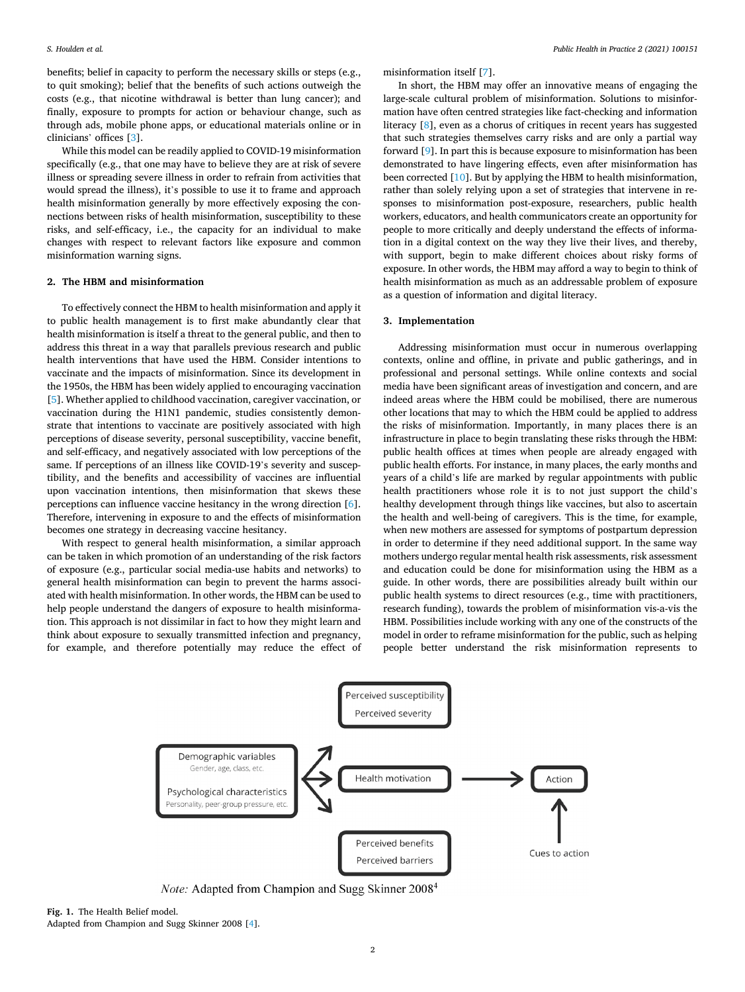<span id="page-1-0"></span>benefits; belief in capacity to perform the necessary skills or steps (e.g., to quit smoking); belief that the benefits of such actions outweigh the costs (e.g., that nicotine withdrawal is better than lung cancer); and finally, exposure to prompts for action or behaviour change, such as through ads, mobile phone apps, or educational materials online or in clinicians' offices [\[3\]](#page-2-0).

While this model can be readily applied to COVID-19 misinformation specifically (e.g., that one may have to believe they are at risk of severe illness or spreading severe illness in order to refrain from activities that would spread the illness), it's possible to use it to frame and approach health misinformation generally by more effectively exposing the connections between risks of health misinformation, susceptibility to these risks, and self-efficacy, i.e., the capacity for an individual to make changes with respect to relevant factors like exposure and common misinformation warning signs.

#### **2. The HBM and misinformation**

To effectively connect the HBM to health misinformation and apply it to public health management is to first make abundantly clear that health misinformation is itself a threat to the general public, and then to address this threat in a way that parallels previous research and public health interventions that have used the HBM. Consider intentions to vaccinate and the impacts of misinformation. Since its development in the 1950s, the HBM has been widely applied to encouraging vaccination [[5](#page-2-0)]. Whether applied to childhood vaccination, caregiver vaccination, or vaccination during the H1N1 pandemic, studies consistently demonstrate that intentions to vaccinate are positively associated with high perceptions of disease severity, personal susceptibility, vaccine benefit, and self-efficacy, and negatively associated with low perceptions of the same. If perceptions of an illness like COVID-19's severity and susceptibility, and the benefits and accessibility of vaccines are influential upon vaccination intentions, then misinformation that skews these perceptions can influence vaccine hesitancy in the wrong direction [[6](#page-2-0)]. Therefore, intervening in exposure to and the effects of misinformation becomes one strategy in decreasing vaccine hesitancy.

With respect to general health misinformation, a similar approach can be taken in which promotion of an understanding of the risk factors of exposure (e.g., particular social media-use habits and networks) to general health misinformation can begin to prevent the harms associated with health misinformation. In other words, the HBM can be used to help people understand the dangers of exposure to health misinformation. This approach is not dissimilar in fact to how they might learn and think about exposure to sexually transmitted infection and pregnancy, for example, and therefore potentially may reduce the effect of misinformation itself [\[7\]](#page-2-0).

In short, the HBM may offer an innovative means of engaging the large-scale cultural problem of misinformation. Solutions to misinformation have often centred strategies like fact-checking and information literacy [[8](#page-2-0)], even as a chorus of critiques in recent years has suggested that such strategies themselves carry risks and are only a partial way forward [[9](#page-2-0)]. In part this is because exposure to misinformation has been demonstrated to have lingering effects, even after misinformation has been corrected [\[10](#page-2-0)]. But by applying the HBM to health misinformation, rather than solely relying upon a set of strategies that intervene in responses to misinformation post-exposure, researchers, public health workers, educators, and health communicators create an opportunity for people to more critically and deeply understand the effects of information in a digital context on the way they live their lives, and thereby, with support, begin to make different choices about risky forms of exposure. In other words, the HBM may afford a way to begin to think of health misinformation as much as an addressable problem of exposure as a question of information and digital literacy.

#### **3. Implementation**

Addressing misinformation must occur in numerous overlapping contexts, online and offline, in private and public gatherings, and in professional and personal settings. While online contexts and social media have been significant areas of investigation and concern, and are indeed areas where the HBM could be mobilised, there are numerous other locations that may to which the HBM could be applied to address the risks of misinformation. Importantly, in many places there is an infrastructure in place to begin translating these risks through the HBM: public health offices at times when people are already engaged with public health efforts. For instance, in many places, the early months and years of a child's life are marked by regular appointments with public health practitioners whose role it is to not just support the child's healthy development through things like vaccines, but also to ascertain the health and well-being of caregivers. This is the time, for example, when new mothers are assessed for symptoms of postpartum depression in order to determine if they need additional support. In the same way mothers undergo regular mental health risk assessments, risk assessment and education could be done for misinformation using the HBM as a guide. In other words, there are possibilities already built within our public health systems to direct resources (e.g., time with practitioners, research funding), towards the problem of misinformation vis-a-vis the HBM. Possibilities include working with any one of the constructs of the model in order to reframe misinformation for the public, such as helping people better understand the risk misinformation represents to



*Note:* Adapted from Champion and Sugg Skinner 2008<sup>4</sup>

**Fig. 1.** The Health Belief model. Adapted from Champion and Sugg Skinner 2008 [\[4](#page-2-0)].